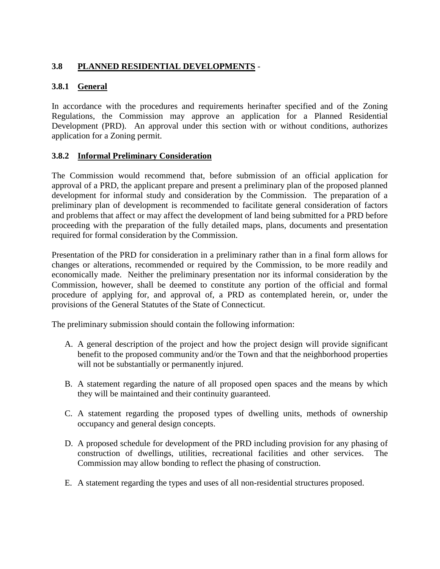# **3.8 PLANNED RESIDENTIAL DEVELOPMENTS** -

## **3.8.1 General**

In accordance with the procedures and requirements herinafter specified and of the Zoning Regulations, the Commission may approve an application for a Planned Residential Development (PRD). An approval under this section with or without conditions, authorizes application for a Zoning permit.

#### **3.8.2 Informal Preliminary Consideration**

The Commission would recommend that, before submission of an official application for approval of a PRD, the applicant prepare and present a preliminary plan of the proposed planned development for informal study and consideration by the Commission. The preparation of a preliminary plan of development is recommended to facilitate general consideration of factors and problems that affect or may affect the development of land being submitted for a PRD before proceeding with the preparation of the fully detailed maps, plans, documents and presentation required for formal consideration by the Commission.

Presentation of the PRD for consideration in a preliminary rather than in a final form allows for changes or alterations, recommended or required by the Commission, to be more readily and economically made. Neither the preliminary presentation nor its informal consideration by the Commission, however, shall be deemed to constitute any portion of the official and formal procedure of applying for, and approval of, a PRD as contemplated herein, or, under the provisions of the General Statutes of the State of Connecticut.

The preliminary submission should contain the following information:

- A. A general description of the project and how the project design will provide significant benefit to the proposed community and/or the Town and that the neighborhood properties will not be substantially or permanently injured.
- B. A statement regarding the nature of all proposed open spaces and the means by which they will be maintained and their continuity guaranteed.
- C. A statement regarding the proposed types of dwelling units, methods of ownership occupancy and general design concepts.
- D. A proposed schedule for development of the PRD including provision for any phasing of construction of dwellings, utilities, recreational facilities and other services. The Commission may allow bonding to reflect the phasing of construction.
- E. A statement regarding the types and uses of all non-residential structures proposed.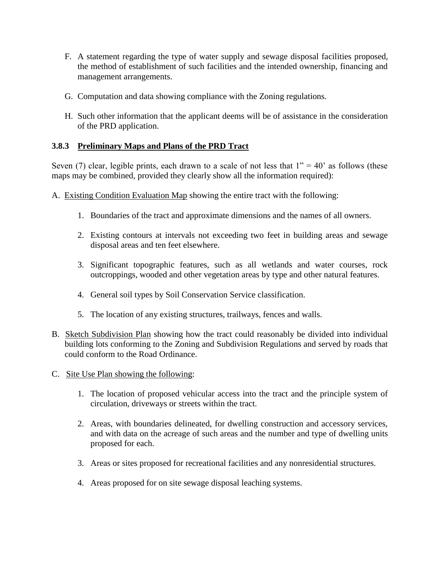- F. A statement regarding the type of water supply and sewage disposal facilities proposed, the method of establishment of such facilities and the intended ownership, financing and management arrangements.
- G. Computation and data showing compliance with the Zoning regulations.
- H. Such other information that the applicant deems will be of assistance in the consideration of the PRD application.

## **3.8.3 Preliminary Maps and Plans of the PRD Tract**

Seven (7) clear, legible prints, each drawn to a scale of not less that  $1" = 40'$  as follows (these maps may be combined, provided they clearly show all the information required):

- A. Existing Condition Evaluation Map showing the entire tract with the following:
	- 1. Boundaries of the tract and approximate dimensions and the names of all owners.
	- 2. Existing contours at intervals not exceeding two feet in building areas and sewage disposal areas and ten feet elsewhere.
	- 3. Significant topographic features, such as all wetlands and water courses, rock outcroppings, wooded and other vegetation areas by type and other natural features.
	- 4. General soil types by Soil Conservation Service classification.
	- 5. The location of any existing structures, trailways, fences and walls.
- B. Sketch Subdivision Plan showing how the tract could reasonably be divided into individual building lots conforming to the Zoning and Subdivision Regulations and served by roads that could conform to the Road Ordinance.
- C. Site Use Plan showing the following:
	- 1. The location of proposed vehicular access into the tract and the principle system of circulation, driveways or streets within the tract.
	- 2. Areas, with boundaries delineated, for dwelling construction and accessory services, and with data on the acreage of such areas and the number and type of dwelling units proposed for each.
	- 3. Areas or sites proposed for recreational facilities and any nonresidential structures.
	- 4. Areas proposed for on site sewage disposal leaching systems.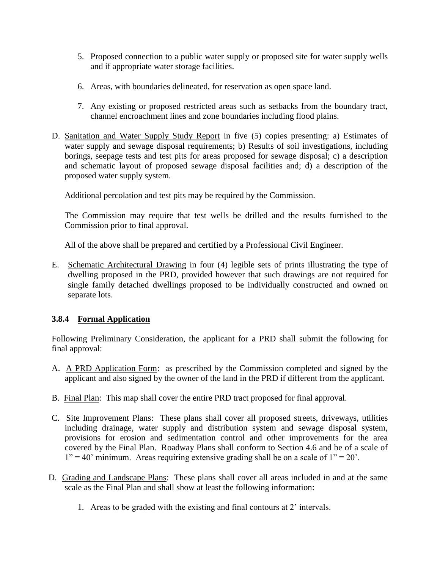- 5. Proposed connection to a public water supply or proposed site for water supply wells and if appropriate water storage facilities.
- 6. Areas, with boundaries delineated, for reservation as open space land.
- 7. Any existing or proposed restricted areas such as setbacks from the boundary tract, channel encroachment lines and zone boundaries including flood plains.
- D. Sanitation and Water Supply Study Report in five (5) copies presenting: a) Estimates of water supply and sewage disposal requirements; b) Results of soil investigations, including borings, seepage tests and test pits for areas proposed for sewage disposal; c) a description and schematic layout of proposed sewage disposal facilities and; d) a description of the proposed water supply system.

Additional percolation and test pits may be required by the Commission.

The Commission may require that test wells be drilled and the results furnished to the Commission prior to final approval.

All of the above shall be prepared and certified by a Professional Civil Engineer.

E. Schematic Architectural Drawing in four (4) legible sets of prints illustrating the type of dwelling proposed in the PRD, provided however that such drawings are not required for single family detached dwellings proposed to be individually constructed and owned on separate lots.

## **3.8.4 Formal Application**

Following Preliminary Consideration, the applicant for a PRD shall submit the following for final approval:

- A. A PRD Application Form: as prescribed by the Commission completed and signed by the applicant and also signed by the owner of the land in the PRD if different from the applicant.
- B. Final Plan: This map shall cover the entire PRD tract proposed for final approval.
- C. Site Improvement Plans: These plans shall cover all proposed streets, driveways, utilities including drainage, water supply and distribution system and sewage disposal system, provisions for erosion and sedimentation control and other improvements for the area covered by the Final Plan. Roadway Plans shall conform to Section 4.6 and be of a scale of  $1" = 40"$  minimum. Areas requiring extensive grading shall be on a scale of  $1" = 20"$ .
- D. Grading and Landscape Plans: These plans shall cover all areas included in and at the same scale as the Final Plan and shall show at least the following information:
	- 1. Areas to be graded with the existing and final contours at 2' intervals.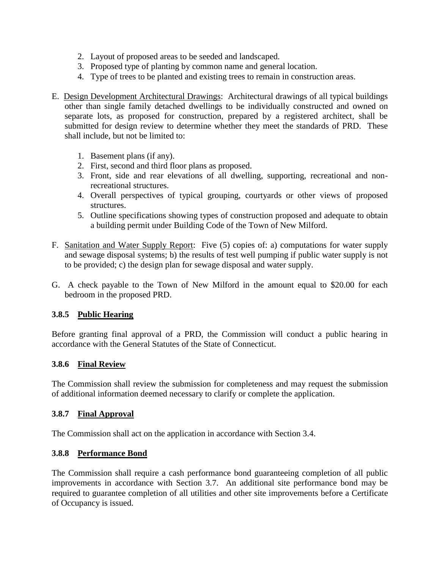- 2. Layout of proposed areas to be seeded and landscaped.
- 3. Proposed type of planting by common name and general location.
- 4. Type of trees to be planted and existing trees to remain in construction areas.
- E. Design Development Architectural Drawings: Architectural drawings of all typical buildings other than single family detached dwellings to be individually constructed and owned on separate lots, as proposed for construction, prepared by a registered architect, shall be submitted for design review to determine whether they meet the standards of PRD. These shall include, but not be limited to:
	- 1. Basement plans (if any).
	- 2. First, second and third floor plans as proposed.
	- 3. Front, side and rear elevations of all dwelling, supporting, recreational and nonrecreational structures.
	- 4. Overall perspectives of typical grouping, courtyards or other views of proposed structures.
	- 5. Outline specifications showing types of construction proposed and adequate to obtain a building permit under Building Code of the Town of New Milford.
- F. Sanitation and Water Supply Report: Five (5) copies of: a) computations for water supply and sewage disposal systems; b) the results of test well pumping if public water supply is not to be provided; c) the design plan for sewage disposal and water supply.
- G. A check payable to the Town of New Milford in the amount equal to \$20.00 for each bedroom in the proposed PRD.

#### **3.8.5 Public Hearing**

Before granting final approval of a PRD, the Commission will conduct a public hearing in accordance with the General Statutes of the State of Connecticut.

#### **3.8.6 Final Review**

The Commission shall review the submission for completeness and may request the submission of additional information deemed necessary to clarify or complete the application.

#### **3.8.7 Final Approval**

The Commission shall act on the application in accordance with Section 3.4.

#### **3.8.8 Performance Bond**

The Commission shall require a cash performance bond guaranteeing completion of all public improvements in accordance with Section 3.7. An additional site performance bond may be required to guarantee completion of all utilities and other site improvements before a Certificate of Occupancy is issued.